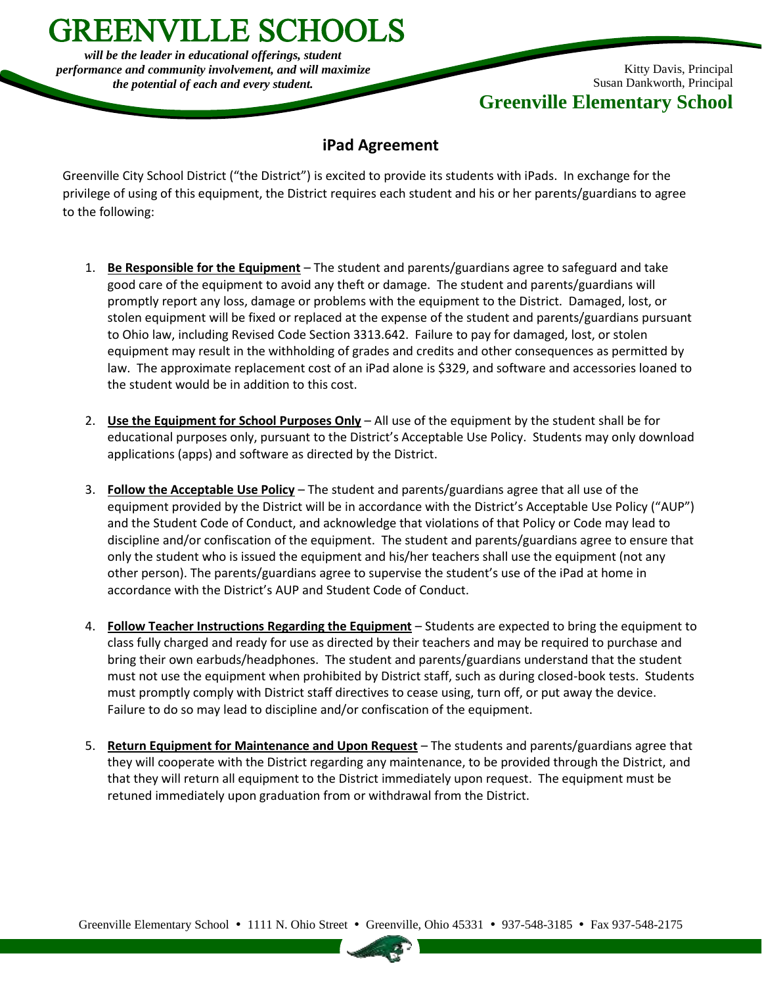*will be the leader in educational offerings, student performance and community involvement, and will maximize the potential of each and every student.*

**GREENVILLE SCHOOLS** 

Kitty Davis, Principal Susan Dankworth, Principal **Greenville Elementary School**

## **iPad Agreement**

Greenville City School District ("the District") is excited to provide its students with iPads. In exchange for the privilege of using of this equipment, the District requires each student and his or her parents/guardians to agree to the following:

- 1. **Be Responsible for the Equipment** The student and parents/guardians agree to safeguard and take good care of the equipment to avoid any theft or damage. The student and parents/guardians will promptly report any loss, damage or problems with the equipment to the District. Damaged, lost, or stolen equipment will be fixed or replaced at the expense of the student and parents/guardians pursuant to Ohio law, including Revised Code Section 3313.642. Failure to pay for damaged, lost, or stolen equipment may result in the withholding of grades and credits and other consequences as permitted by law. The approximate replacement cost of an iPad alone is \$329, and software and accessories loaned to the student would be in addition to this cost.
- 2. **Use the Equipment for School Purposes Only** All use of the equipment by the student shall be for educational purposes only, pursuant to the District's Acceptable Use Policy. Students may only download applications (apps) and software as directed by the District.
- 3. **Follow the Acceptable Use Policy** The student and parents/guardians agree that all use of the equipment provided by the District will be in accordance with the District's Acceptable Use Policy ("AUP") and the Student Code of Conduct, and acknowledge that violations of that Policy or Code may lead to discipline and/or confiscation of the equipment. The student and parents/guardians agree to ensure that only the student who is issued the equipment and his/her teachers shall use the equipment (not any other person). The parents/guardians agree to supervise the student's use of the iPad at home in accordance with the District's AUP and Student Code of Conduct.
- 4. **Follow Teacher Instructions Regarding the Equipment** Students are expected to bring the equipment to class fully charged and ready for use as directed by their teachers and may be required to purchase and bring their own earbuds/headphones. The student and parents/guardians understand that the student must not use the equipment when prohibited by District staff, such as during closed-book tests. Students must promptly comply with District staff directives to cease using, turn off, or put away the device. Failure to do so may lead to discipline and/or confiscation of the equipment.
- 5. **Return Equipment for Maintenance and Upon Request** The students and parents/guardians agree that they will cooperate with the District regarding any maintenance, to be provided through the District, and that they will return all equipment to the District immediately upon request. The equipment must be retuned immediately upon graduation from or withdrawal from the District.

Greenville Elementary School • 1111 N. Ohio Street • Greenville, Ohio 45331 • 937-548-3185 • Fax 937-548-2175